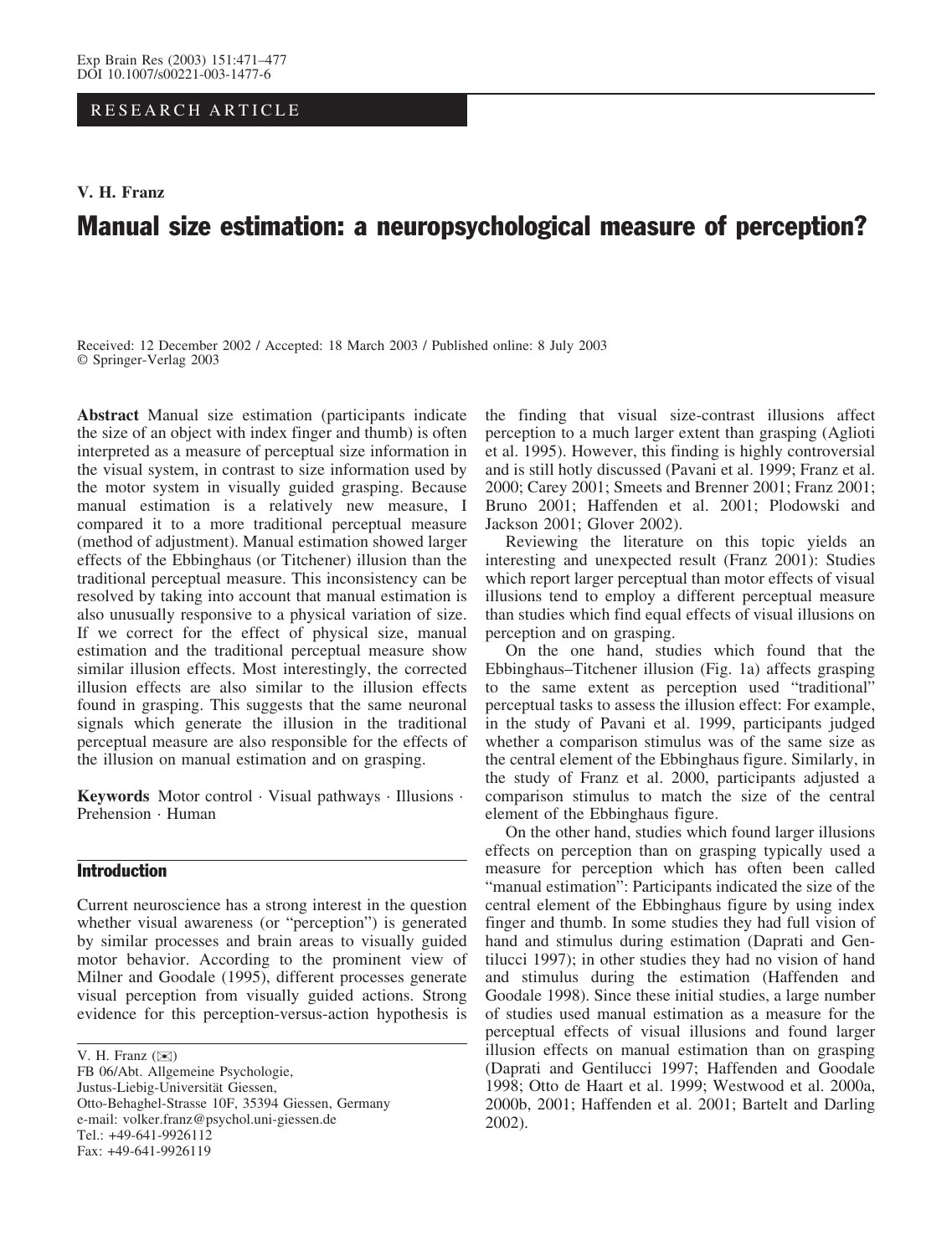RESEARCH ARTICLE

## V. H. Franz

# Manual size estimation: a neuropsychological measure of perception?

Received: 12 December 2002 / Accepted: 18 March 2003 / Published online: 8 July 2003 Springer-Verlag 2003

Abstract Manual size estimation (participants indicate the size of an object with index finger and thumb) is often interpreted as a measure of perceptual size information in the visual system, in contrast to size information used by the motor system in visually guided grasping. Because manual estimation is a relatively new measure, I compared it to a more traditional perceptual measure (method of adjustment). Manual estimation showed larger effects of the Ebbinghaus (or Titchener) illusion than the traditional perceptual measure. This inconsistency can be resolved by taking into account that manual estimation is also unusually responsive to a physical variation of size. If we correct for the effect of physical size, manual estimation and the traditional perceptual measure show similar illusion effects. Most interestingly, the corrected illusion effects are also similar to the illusion effects found in grasping. This suggests that the same neuronal signals which generate the illusion in the traditional perceptual measure are also responsible for the effects of the illusion on manual estimation and on grasping.

Keywords Motor control · Visual pathways · Illusions · Prehension · Human

# Introduction

Current neuroscience has a strong interest in the question whether visual awareness (or "perception") is generated by similar processes and brain areas to visually guided motor behavior. According to the prominent view of Milner and Goodale (1995), different processes generate visual perception from visually guided actions. Strong evidence for this perception-versus-action hypothesis is

FB 06/Abt. Allgemeine Psychologie, Justus-Liebig-Universität Giessen, Otto-Behaghel-Strasse 10F, 35394 Giessen, Germany e-mail: volker.franz@psychol.uni-giessen.de Tel.: +49-641-9926112 Fax: +49-641-9926119

the finding that visual size-contrast illusions affect perception to a much larger extent than grasping (Aglioti et al. 1995). However, this finding is highly controversial and is still hotly discussed (Pavani et al. 1999; Franz et al. 2000; Carey 2001; Smeets and Brenner 2001; Franz 2001; Bruno 2001; Haffenden et al. 2001; Plodowski and Jackson 2001; Glover 2002).

Reviewing the literature on this topic yields an interesting and unexpected result (Franz 2001): Studies which report larger perceptual than motor effects of visual illusions tend to employ a different perceptual measure than studies which find equal effects of visual illusions on perception and on grasping.

On the one hand, studies which found that the Ebbinghaus–Titchener illusion (Fig. 1a) affects grasping to the same extent as perception used "traditional" perceptual tasks to assess the illusion effect: For example, in the study of Pavani et al. 1999, participants judged whether a comparison stimulus was of the same size as the central element of the Ebbinghaus figure. Similarly, in the study of Franz et al. 2000, participants adjusted a comparison stimulus to match the size of the central element of the Ebbinghaus figure.

On the other hand, studies which found larger illusions effects on perception than on grasping typically used a measure for perception which has often been called "manual estimation": Participants indicated the size of the central element of the Ebbinghaus figure by using index finger and thumb. In some studies they had full vision of hand and stimulus during estimation (Daprati and Gentilucci 1997); in other studies they had no vision of hand and stimulus during the estimation (Haffenden and Goodale 1998). Since these initial studies, a large number of studies used manual estimation as a measure for the perceptual effects of visual illusions and found larger illusion effects on manual estimation than on grasping (Daprati and Gentilucci 1997; Haffenden and Goodale 1998; Otto de Haart et al. 1999; Westwood et al. 2000a, 2000b, 2001; Haffenden et al. 2001; Bartelt and Darling 2002).

V. H. Franz (*)*)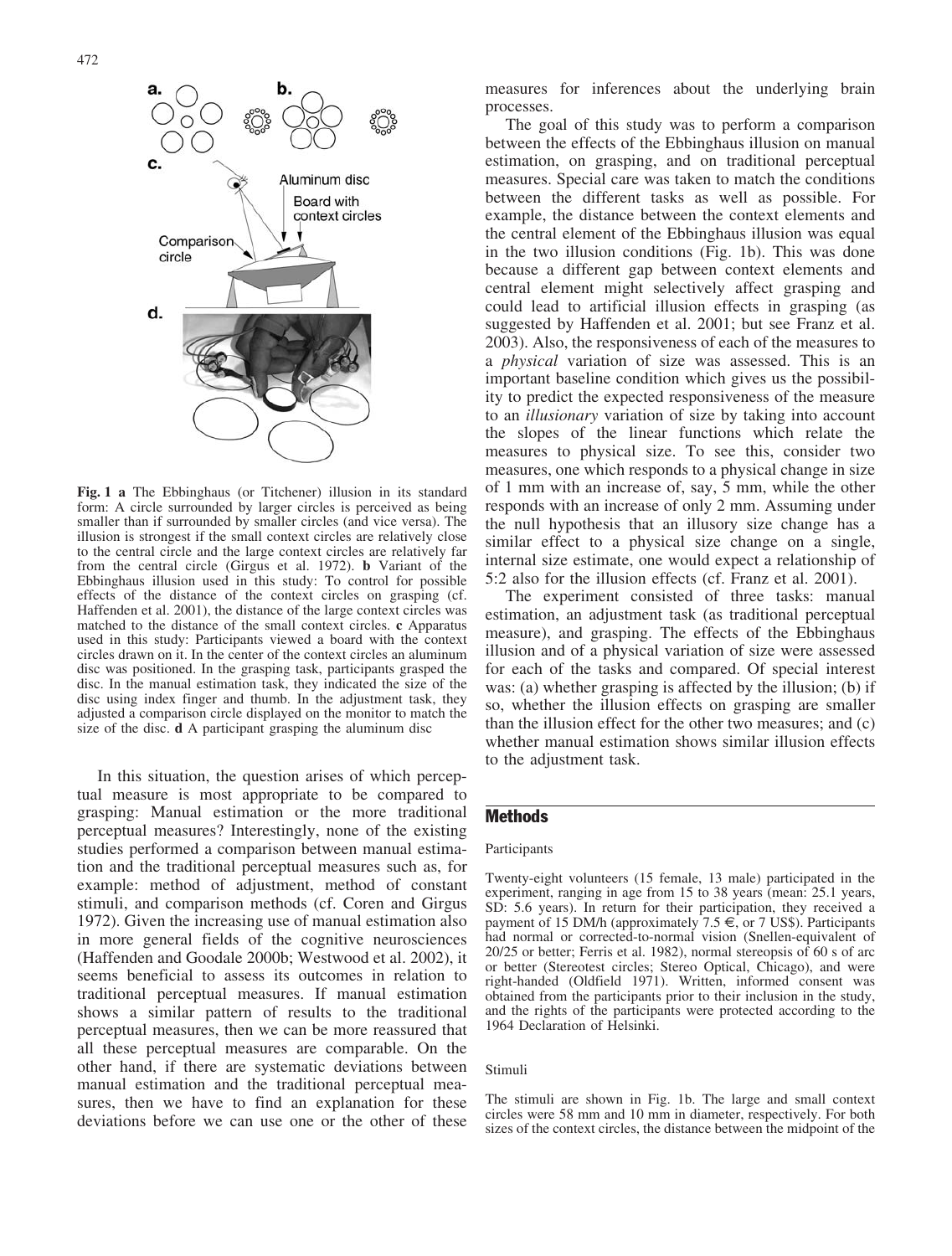

Fig. 1 a The Ebbinghaus (or Titchener) illusion in its standard form: A circle surrounded by larger circles is perceived as being smaller than if surrounded by smaller circles (and vice versa). The illusion is strongest if the small context circles are relatively close to the central circle and the large context circles are relatively far from the central circle (Girgus et al. 1972). b Variant of the Ebbinghaus illusion used in this study: To control for possible effects of the distance of the context circles on grasping (cf. Haffenden et al. 2001), the distance of the large context circles was matched to the distance of the small context circles. c Apparatus used in this study: Participants viewed a board with the context circles drawn on it. In the center of the context circles an aluminum disc was positioned. In the grasping task, participants grasped the disc. In the manual estimation task, they indicated the size of the disc using index finger and thumb. In the adjustment task, they adjusted a comparison circle displayed on the monitor to match the size of the disc. d A participant grasping the aluminum disc

In this situation, the question arises of which perceptual measure is most appropriate to be compared to grasping: Manual estimation or the more traditional perceptual measures? Interestingly, none of the existing studies performed a comparison between manual estimation and the traditional perceptual measures such as, for example: method of adjustment, method of constant stimuli, and comparison methods (cf. Coren and Girgus 1972). Given the increasing use of manual estimation also in more general fields of the cognitive neurosciences (Haffenden and Goodale 2000b; Westwood et al. 2002), it seems beneficial to assess its outcomes in relation to traditional perceptual measures. If manual estimation shows a similar pattern of results to the traditional perceptual measures, then we can be more reassured that all these perceptual measures are comparable. On the other hand, if there are systematic deviations between manual estimation and the traditional perceptual measures, then we have to find an explanation for these deviations before we can use one or the other of these

measures for inferences about the underlying brain processes.

The goal of this study was to perform a comparison between the effects of the Ebbinghaus illusion on manual estimation, on grasping, and on traditional perceptual measures. Special care was taken to match the conditions between the different tasks as well as possible. For example, the distance between the context elements and the central element of the Ebbinghaus illusion was equal in the two illusion conditions (Fig. 1b). This was done because a different gap between context elements and central element might selectively affect grasping and could lead to artificial illusion effects in grasping (as suggested by Haffenden et al. 2001; but see Franz et al. 2003). Also, the responsiveness of each of the measures to a physical variation of size was assessed. This is an important baseline condition which gives us the possibility to predict the expected responsiveness of the measure to an illusionary variation of size by taking into account the slopes of the linear functions which relate the measures to physical size. To see this, consider two measures, one which responds to a physical change in size of 1 mm with an increase of, say, 5 mm, while the other responds with an increase of only 2 mm. Assuming under the null hypothesis that an illusory size change has a similar effect to a physical size change on a single, internal size estimate, one would expect a relationship of 5:2 also for the illusion effects (cf. Franz et al. 2001).

The experiment consisted of three tasks: manual estimation, an adjustment task (as traditional perceptual measure), and grasping. The effects of the Ebbinghaus illusion and of a physical variation of size were assessed for each of the tasks and compared. Of special interest was: (a) whether grasping is affected by the illusion; (b) if so, whether the illusion effects on grasping are smaller than the illusion effect for the other two measures; and (c) whether manual estimation shows similar illusion effects to the adjustment task.

# **Methods**

#### Participants

Twenty-eight volunteers (15 female, 13 male) participated in the experiment, ranging in age from 15 to 38 years (mean: 25.1 years, SD: 5.6 years). In return for their participation, they received a payment of 15 DM/h (approximately 7.5 *e*, or 7 US\$). Participants had normal or corrected-to-normal vision (Snellen-equivalent of 20/25 or better; Ferris et al. 1982), normal stereopsis of 60 s of arc or better (Stereotest circles; Stereo Optical, Chicago), and were right-handed (Oldfield 1971). Written, informed consent was obtained from the participants prior to their inclusion in the study, and the rights of the participants were protected according to the 1964 Declaration of Helsinki.

#### Stimuli

The stimuli are shown in Fig. 1b. The large and small context circles were 58 mm and 10 mm in diameter, respectively. For both sizes of the context circles, the distance between the midpoint of the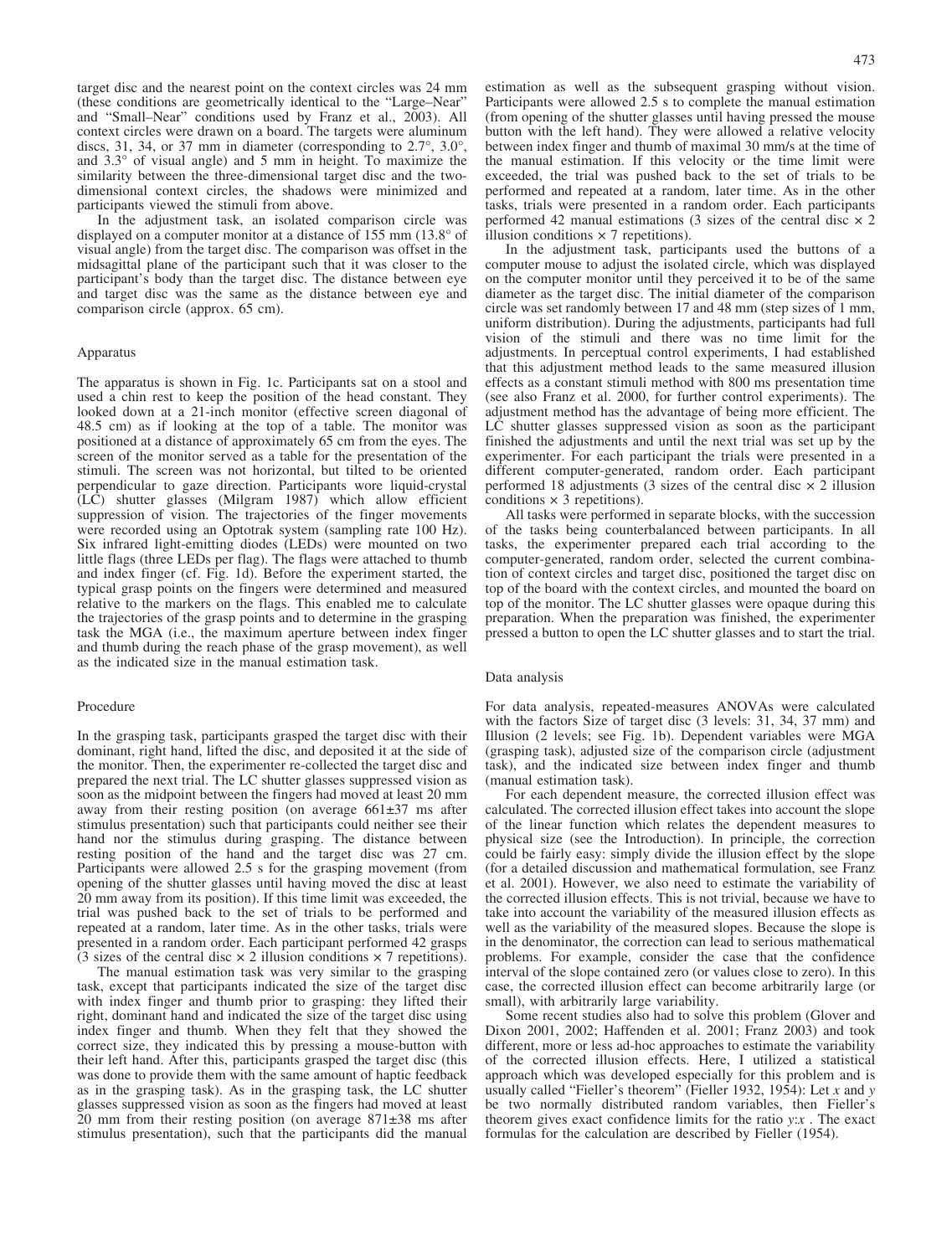target disc and the nearest point on the context circles was 24 mm (these conditions are geometrically identical to the "Large–Near" and "Small–Near" conditions used by Franz et al., 2003). All context circles were drawn on a board. The targets were aluminum discs, 31, 34, or 37 mm in diameter (corresponding to  $2.7^{\circ}$ ,  $3.0^{\circ}$ , and  $3.3^{\circ}$  of visual angle) and 5 mm in height. To maximize the similarity between the three-dimensional target disc and the twodimensional context circles, the shadows were minimized and participants viewed the stimuli from above.

In the adjustment task, an isolated comparison circle was displayed on a computer monitor at a distance of  $155 \text{ mm}$  ( $13.8^\circ$  of visual angle) from the target disc. The comparison was offset in the midsagittal plane of the participant such that it was closer to the participant's body than the target disc. The distance between eye and target disc was the same as the distance between eye and comparison circle (approx. 65 cm).

#### Apparatus

The apparatus is shown in Fig. 1c. Participants sat on a stool and used a chin rest to keep the position of the head constant. They looked down at a 21-inch monitor (effective screen diagonal of 48.5 cm) as if looking at the top of a table. The monitor was positioned at a distance of approximately 65 cm from the eyes. The screen of the monitor served as a table for the presentation of the stimuli. The screen was not horizontal, but tilted to be oriented perpendicular to gaze direction. Participants wore liquid-crystal (LC) shutter glasses (Milgram 1987) which allow efficient suppression of vision. The trajectories of the finger movements were recorded using an Optotrak system (sampling rate 100 Hz). Six infrared light-emitting diodes (LEDs) were mounted on two little flags (three LEDs per flag). The flags were attached to thumb and index finger (cf. Fig. 1d). Before the experiment started, the typical grasp points on the fingers were determined and measured relative to the markers on the flags. This enabled me to calculate the trajectories of the grasp points and to determine in the grasping task the MGA (i.e., the maximum aperture between index finger and thumb during the reach phase of the grasp movement), as well as the indicated size in the manual estimation task.

#### Procedure

In the grasping task, participants grasped the target disc with their dominant, right hand, lifted the disc, and deposited it at the side of the monitor. Then, the experimenter re-collected the target disc and prepared the next trial. The LC shutter glasses suppressed vision as soon as the midpoint between the fingers had moved at least 20 mm away from their resting position (on average  $661±37$  ms after stimulus presentation) such that participants could neither see their hand nor the stimulus during grasping. The distance between resting position of the hand and the target disc was 27 cm. Participants were allowed 2.5 s for the grasping movement (from opening of the shutter glasses until having moved the disc at least 20 mm away from its position). If this time limit was exceeded, the trial was pushed back to the set of trials to be performed and repeated at a random, later time. As in the other tasks, trials were presented in a random order. Each participant performed 42 grasps  $(3 \text{ sizes of the central disc} \times 2 \text{ illusion conditions} \times 7 \text{ repetitions}).$ 

The manual estimation task was very similar to the grasping task, except that participants indicated the size of the target disc with index finger and thumb prior to grasping: they lifted their right, dominant hand and indicated the size of the target disc using index finger and thumb. When they felt that they showed the correct size, they indicated this by pressing a mouse-button with their left hand. After this, participants grasped the target disc (this was done to provide them with the same amount of haptic feedback as in the grasping task). As in the grasping task, the LC shutter glasses suppressed vision as soon as the fingers had moved at least  $20$  mm from their resting position (on average  $871\pm38$  ms after stimulus presentation), such that the participants did the manual estimation as well as the subsequent grasping without vision. Participants were allowed 2.5 s to complete the manual estimation (from opening of the shutter glasses until having pressed the mouse button with the left hand). They were allowed a relative velocity between index finger and thumb of maximal 30 mm/s at the time of the manual estimation. If this velocity or the time limit were exceeded, the trial was pushed back to the set of trials to be performed and repeated at a random, later time. As in the other tasks, trials were presented in a random order. Each participants performed 42 manual estimations (3 sizes of the central disc  $\times$  2 illusion conditions  $\times$  7 repetitions).

In the adjustment task, participants used the buttons of a computer mouse to adjust the isolated circle, which was displayed on the computer monitor until they perceived it to be of the same diameter as the target disc. The initial diameter of the comparison circle was set randomly between 17 and 48 mm (step sizes of 1 mm, uniform distribution). During the adjustments, participants had full vision of the stimuli and there was no time limit for the adjustments. In perceptual control experiments, I had established that this adjustment method leads to the same measured illusion effects as a constant stimuli method with 800 ms presentation time (see also Franz et al. 2000, for further control experiments). The adjustment method has the advantage of being more efficient. The LC shutter glasses suppressed vision as soon as the participant finished the adjustments and until the next trial was set up by the experimenter. For each participant the trials were presented in a different computer-generated, random order. Each participant performed 18 adjustments (3 sizes of the central disc  $\times$  2 illusion conditions  $\times$  3 repetitions).

All tasks were performed in separate blocks, with the succession of the tasks being counterbalanced between participants. In all tasks, the experimenter prepared each trial according to the computer-generated, random order, selected the current combination of context circles and target disc, positioned the target disc on top of the board with the context circles, and mounted the board on top of the monitor. The LC shutter glasses were opaque during this preparation. When the preparation was finished, the experimenter pressed a button to open the LC shutter glasses and to start the trial.

#### Data analysis

For data analysis, repeated-measures ANOVAs were calculated with the factors Size of target disc (3 levels: 31, 34, 37 mm) and Illusion (2 levels; see Fig. 1b). Dependent variables were MGA (grasping task), adjusted size of the comparison circle (adjustment task), and the indicated size between index finger and thumb (manual estimation task).

For each dependent measure, the corrected illusion effect was calculated. The corrected illusion effect takes into account the slope of the linear function which relates the dependent measures to physical size (see the Introduction). In principle, the correction could be fairly easy: simply divide the illusion effect by the slope (for a detailed discussion and mathematical formulation, see Franz et al. 2001). However, we also need to estimate the variability of the corrected illusion effects. This is not trivial, because we have to take into account the variability of the measured illusion effects as well as the variability of the measured slopes. Because the slope is in the denominator, the correction can lead to serious mathematical problems. For example, consider the case that the confidence interval of the slope contained zero (or values close to zero). In this case, the corrected illusion effect can become arbitrarily large (or small), with arbitrarily large variability.

Some recent studies also had to solve this problem (Glover and Dixon 2001, 2002; Haffenden et al. 2001; Franz 2003) and took different, more or less ad-hoc approaches to estimate the variability of the corrected illusion effects. Here, I utilized a statistical approach which was developed especially for this problem and is usually called "Fieller's theorem" (Fieller 1932, 1954): Let  $x$  and  $y$ be two normally distributed random variables, then Fieller's theorem gives exact confidence limits for the ratio  $y:x$ . The exact formulas for the calculation are described by Fieller (1954).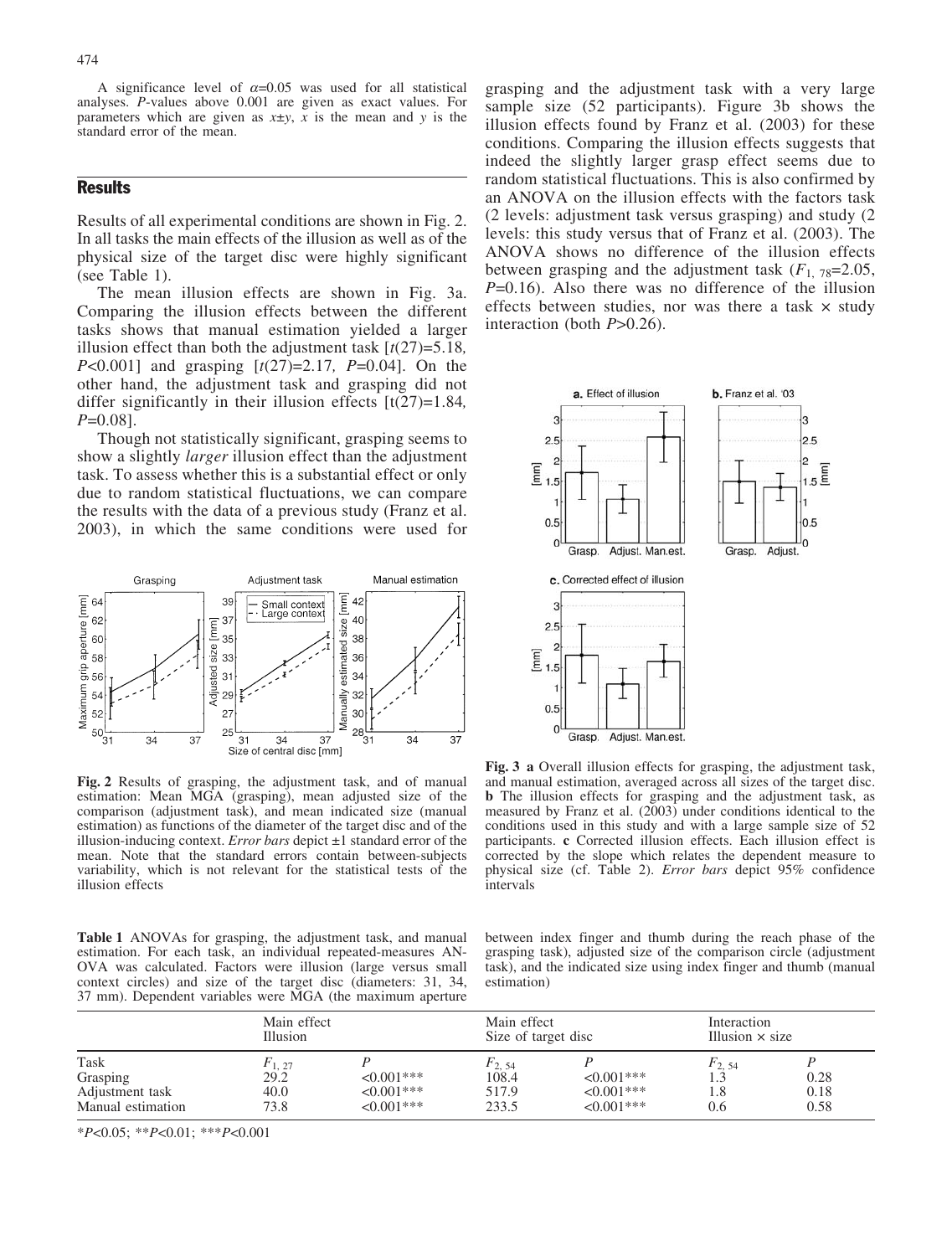A significance level of  $\alpha$ =0.05 was used for all statistical analyses. P-values above 0.001 are given as exact values. For parameters which are given as  $x \pm y$ , x is the mean and y is the standard error of the mean.

## **Results**

Results of all experimental conditions are shown in Fig. 2. In all tasks the main effects of the illusion as well as of the physical size of the target disc were highly significant (see Table 1).

The mean illusion effects are shown in Fig. 3a. Comparing the illusion effects between the different tasks shows that manual estimation yielded a larger illusion effect than both the adjustment task  $[t(27)=5.18]$ , *P*<0.001] and grasping  $[t(27)=2.17, P=0.04]$ . On the other hand, the adjustment task and grasping did not differ significantly in their illusion effects  $[t(27)=1.84]$ ,  $P=0.081$ .

Though not statistically significant, grasping seems to show a slightly larger illusion effect than the adjustment task. To assess whether this is a substantial effect or only due to random statistical fluctuations, we can compare the results with the data of a previous study (Franz et al. 2003), in which the same conditions were used for



Fig. 2 Results of grasping, the adjustment task, and of manual estimation: Mean MGA (grasping), mean adjusted size of the comparison (adjustment task), and mean indicated size (manual estimation) as functions of the diameter of the target disc and of the illusion-inducing context. *Error bars* depict  $\pm 1$  standard error of the mean. Note that the standard errors contain between-subjects variability, which is not relevant for the statistical tests of the illusion effects

Table 1 ANOVAs for grasping, the adjustment task, and manual estimation. For each task, an individual repeated-measures AN-OVA was calculated. Factors were illusion (large versus small context circles) and size of the target disc (diameters: 31, 34, 37 mm). Dependent variables were MGA (the maximum aperture

grasping and the adjustment task with a very large sample size (52 participants). Figure 3b shows the illusion effects found by Franz et al. (2003) for these conditions. Comparing the illusion effects suggests that indeed the slightly larger grasp effect seems due to random statistical fluctuations. This is also confirmed by an ANOVA on the illusion effects with the factors task (2 levels: adjustment task versus grasping) and study (2 levels: this study versus that of Franz et al. (2003). The ANOVA shows no difference of the illusion effects between grasping and the adjustment task  $(F_1, 78=2.05,$  $P=0.16$ ). Also there was no difference of the illusion effects between studies, nor was there a task  $\times$  study interaction (both  $P > 0.26$ ).



Fig. 3 a Overall illusion effects for grasping, the adjustment task, and manual estimation, averaged across all sizes of the target disc. b The illusion effects for grasping and the adjustment task, as measured by Franz et al. (2003) under conditions identical to the conditions used in this study and with a large sample size of 52 participants. c Corrected illusion effects. Each illusion effect is corrected by the slope which relates the dependent measure to physical size (cf. Table 2). Error bars depict 95% confidence intervals

between index finger and thumb during the reach phase of the grasping task), adjusted size of the comparison circle (adjustment task), and the indicated size using index finger and thumb (manual estimation)

| Task<br>Grasping<br>Adjustment task | Main effect<br><b>Illusion</b> |                                | Main effect<br>Size of target disc |                                      | Interaction<br>Illusion $\times$ size |              |
|-------------------------------------|--------------------------------|--------------------------------|------------------------------------|--------------------------------------|---------------------------------------|--------------|
|                                     | $F_{1,27}$<br>29.2<br>40.0     | $< 0.001$ ***<br>$< 0.001$ *** | $F_2$ , 54<br>108.4<br>517.9       | $\leq 0.001$ ***<br>$\leq 0.001$ *** | $F_{2, 54}$<br>1.8                    | 0.28<br>0.18 |
| Manual estimation                   | 73.8                           | $< 0.001$ ***                  | 233.5                              | $\leq 0.001$ ***                     | 0.6                                   | 0.58         |

 $*P<0.05$ ;  $*P<0.01$ ;  $**P<0.001$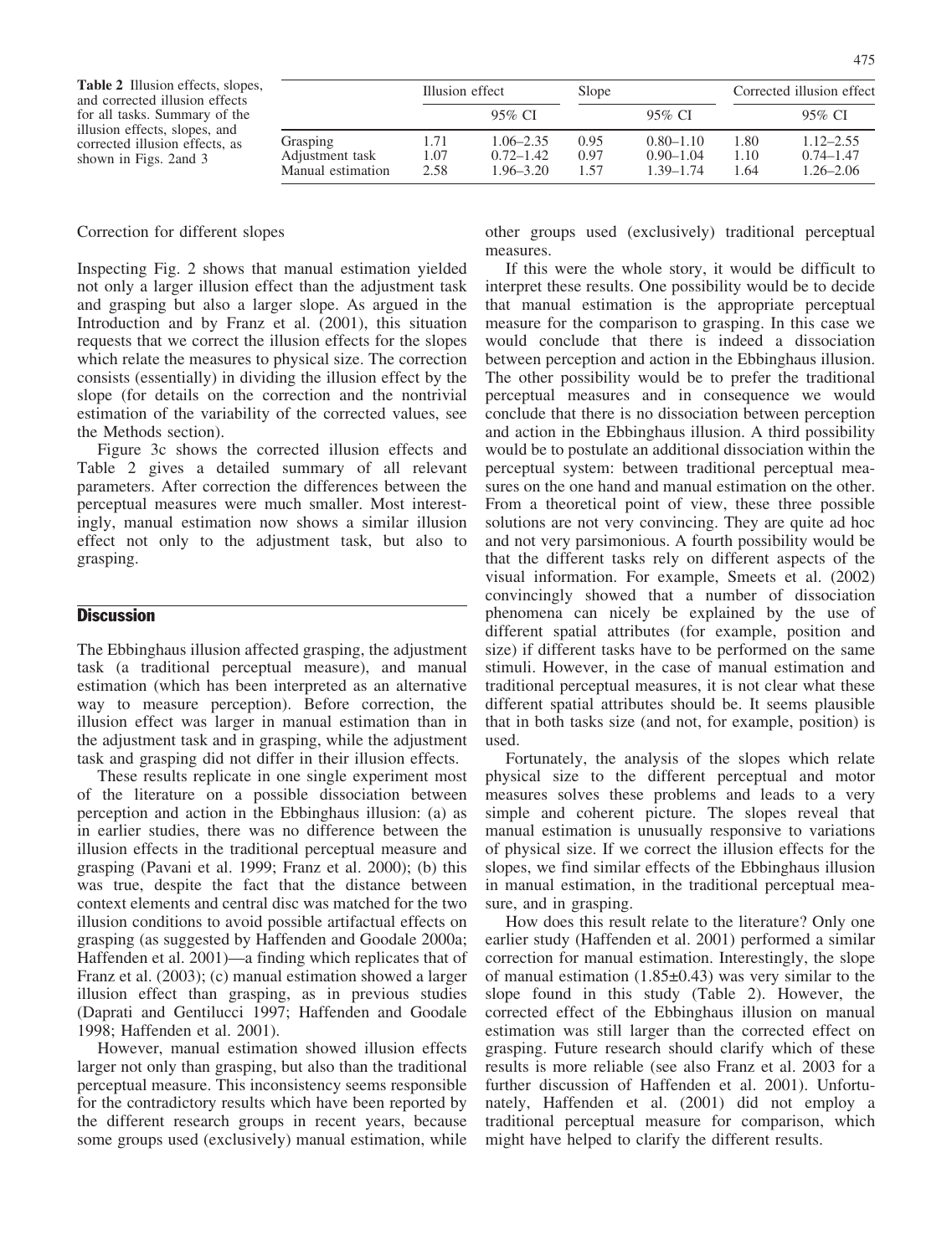Table 2 Illusion effects, slopes, and corrected illusion effects for all tasks. Summary of the illusion effects, slopes, and corrected illusion effects, as shown in Figs. 2and 3

|                                                  | Illusion effect      |                                                 | Slope                |                                                 | Corrected illusion effect |                                                 |
|--------------------------------------------------|----------------------|-------------------------------------------------|----------------------|-------------------------------------------------|---------------------------|-------------------------------------------------|
|                                                  |                      | 95% CI                                          |                      | 95% CI                                          |                           | 95% CI                                          |
| Grasping<br>Adjustment task<br>Manual estimation | 1.71<br>1.07<br>2.58 | $1.06 - 2.35$<br>$0.72 - 1.42$<br>$1.96 - 3.20$ | 0.95<br>0.97<br>1.57 | $0.80 - 1.10$<br>$0.90 - 1.04$<br>$1.39 - 1.74$ | 1.80<br>1.10<br>1.64      | $1.12 - 2.55$<br>$0.74 - 1.47$<br>$1.26 - 2.06$ |

### Correction for different slopes

Inspecting Fig. 2 shows that manual estimation yielded not only a larger illusion effect than the adjustment task and grasping but also a larger slope. As argued in the Introduction and by Franz et al. (2001), this situation requests that we correct the illusion effects for the slopes which relate the measures to physical size. The correction consists (essentially) in dividing the illusion effect by the slope (for details on the correction and the nontrivial estimation of the variability of the corrected values, see the Methods section).

Figure 3c shows the corrected illusion effects and Table 2 gives a detailed summary of all relevant parameters. After correction the differences between the perceptual measures were much smaller. Most interestingly, manual estimation now shows a similar illusion effect not only to the adjustment task, but also to grasping.

## **Discussion**

The Ebbinghaus illusion affected grasping, the adjustment task (a traditional perceptual measure), and manual estimation (which has been interpreted as an alternative way to measure perception). Before correction, the illusion effect was larger in manual estimation than in the adjustment task and in grasping, while the adjustment task and grasping did not differ in their illusion effects.

These results replicate in one single experiment most of the literature on a possible dissociation between perception and action in the Ebbinghaus illusion: (a) as in earlier studies, there was no difference between the illusion effects in the traditional perceptual measure and grasping (Pavani et al. 1999; Franz et al. 2000); (b) this was true, despite the fact that the distance between context elements and central disc was matched for the two illusion conditions to avoid possible artifactual effects on grasping (as suggested by Haffenden and Goodale 2000a; Haffenden et al. 2001)—a finding which replicates that of Franz et al. (2003); (c) manual estimation showed a larger illusion effect than grasping, as in previous studies (Daprati and Gentilucci 1997; Haffenden and Goodale 1998; Haffenden et al. 2001).

However, manual estimation showed illusion effects larger not only than grasping, but also than the traditional perceptual measure. This inconsistency seems responsible for the contradictory results which have been reported by the different research groups in recent years, because some groups used (exclusively) manual estimation, while other groups used (exclusively) traditional perceptual measures.

If this were the whole story, it would be difficult to interpret these results. One possibility would be to decide that manual estimation is the appropriate perceptual measure for the comparison to grasping. In this case we would conclude that there is indeed a dissociation between perception and action in the Ebbinghaus illusion. The other possibility would be to prefer the traditional perceptual measures and in consequence we would conclude that there is no dissociation between perception and action in the Ebbinghaus illusion. A third possibility would be to postulate an additional dissociation within the perceptual system: between traditional perceptual measures on the one hand and manual estimation on the other. From a theoretical point of view, these three possible solutions are not very convincing. They are quite ad hoc and not very parsimonious. A fourth possibility would be that the different tasks rely on different aspects of the visual information. For example, Smeets et al. (2002) convincingly showed that a number of dissociation phenomena can nicely be explained by the use of different spatial attributes (for example, position and size) if different tasks have to be performed on the same stimuli. However, in the case of manual estimation and traditional perceptual measures, it is not clear what these different spatial attributes should be. It seems plausible that in both tasks size (and not, for example, position) is used.

Fortunately, the analysis of the slopes which relate physical size to the different perceptual and motor measures solves these problems and leads to a very simple and coherent picture. The slopes reveal that manual estimation is unusually responsive to variations of physical size. If we correct the illusion effects for the slopes, we find similar effects of the Ebbinghaus illusion in manual estimation, in the traditional perceptual measure, and in grasping.

How does this result relate to the literature? Only one earlier study (Haffenden et al. 2001) performed a similar correction for manual estimation. Interestingly, the slope of manual estimation  $(1.85\pm0.43)$  was very similar to the slope found in this study (Table 2). However, the corrected effect of the Ebbinghaus illusion on manual estimation was still larger than the corrected effect on grasping. Future research should clarify which of these results is more reliable (see also Franz et al. 2003 for a further discussion of Haffenden et al. 2001). Unfortunately, Haffenden et al. (2001) did not employ a traditional perceptual measure for comparison, which might have helped to clarify the different results.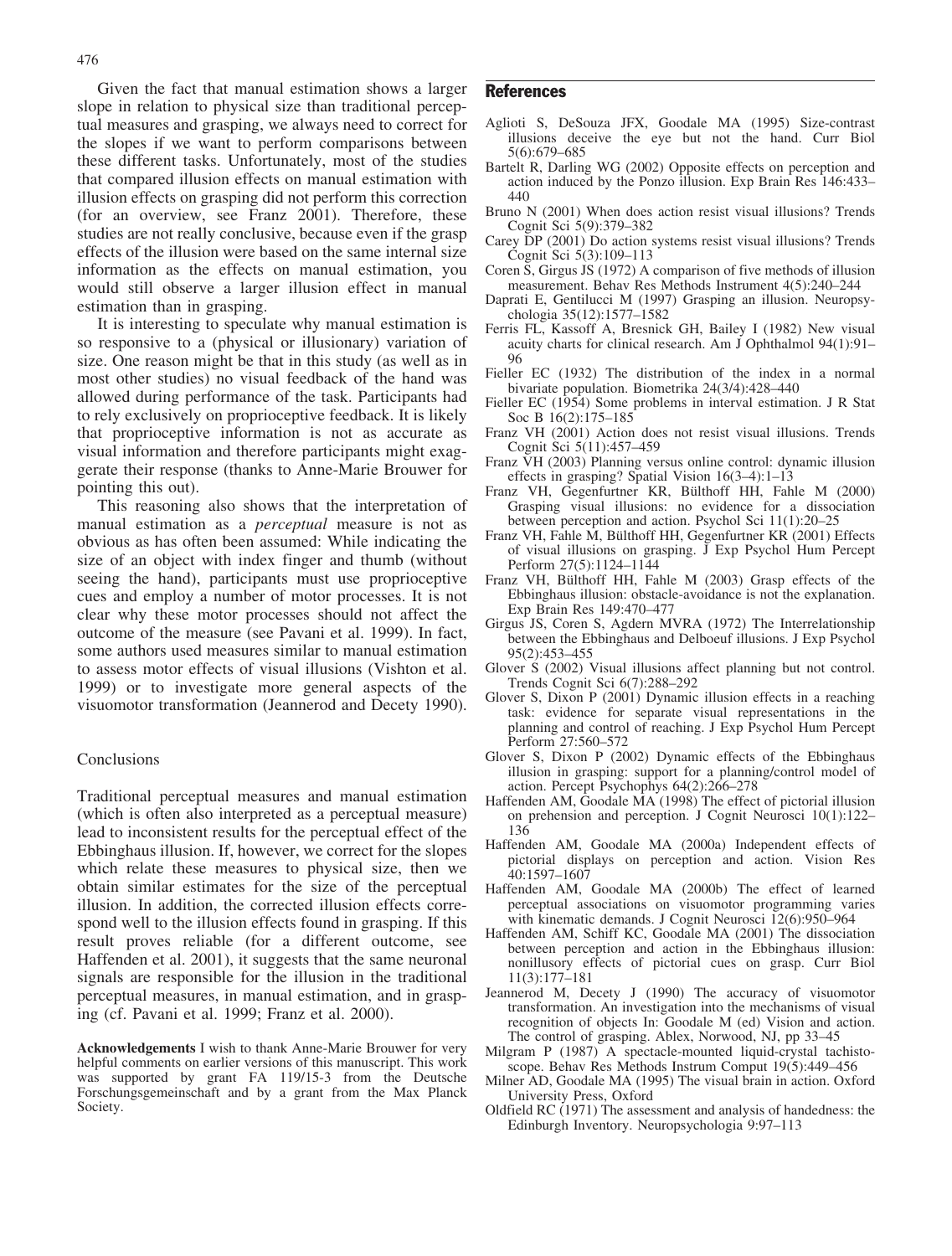Given the fact that manual estimation shows a larger slope in relation to physical size than traditional perceptual measures and grasping, we always need to correct for the slopes if we want to perform comparisons between these different tasks. Unfortunately, most of the studies that compared illusion effects on manual estimation with illusion effects on grasping did not perform this correction (for an overview, see Franz 2001). Therefore, these studies are not really conclusive, because even if the grasp effects of the illusion were based on the same internal size information as the effects on manual estimation, you would still observe a larger illusion effect in manual estimation than in grasping.

It is interesting to speculate why manual estimation is so responsive to a (physical or illusionary) variation of size. One reason might be that in this study (as well as in most other studies) no visual feedback of the hand was allowed during performance of the task. Participants had to rely exclusively on proprioceptive feedback. It is likely that proprioceptive information is not as accurate as visual information and therefore participants might exaggerate their response (thanks to Anne-Marie Brouwer for pointing this out).

This reasoning also shows that the interpretation of manual estimation as a perceptual measure is not as obvious as has often been assumed: While indicating the size of an object with index finger and thumb (without seeing the hand), participants must use proprioceptive cues and employ a number of motor processes. It is not clear why these motor processes should not affect the outcome of the measure (see Pavani et al. 1999). In fact, some authors used measures similar to manual estimation to assess motor effects of visual illusions (Vishton et al. 1999) or to investigate more general aspects of the visuomotor transformation (Jeannerod and Decety 1990).

## **Conclusions**

Traditional perceptual measures and manual estimation (which is often also interpreted as a perceptual measure) lead to inconsistent results for the perceptual effect of the Ebbinghaus illusion. If, however, we correct for the slopes which relate these measures to physical size, then we obtain similar estimates for the size of the perceptual illusion. In addition, the corrected illusion effects correspond well to the illusion effects found in grasping. If this result proves reliable (for a different outcome, see Haffenden et al. 2001), it suggests that the same neuronal signals are responsible for the illusion in the traditional perceptual measures, in manual estimation, and in grasping (cf. Pavani et al. 1999; Franz et al. 2000).

Acknowledgements I wish to thank Anne-Marie Brouwer for very helpful comments on earlier versions of this manuscript. This work was supported by grant FA 119/15-3 from the Deutsche Forschungsgemeinschaft and by a grant from the Max Planck Society.

## References

- Aglioti S, DeSouza JFX, Goodale MA (1995) Size-contrast illusions deceive the eye but not the hand. Curr Biol 5(6):679–685
- Bartelt R, Darling WG (2002) Opposite effects on perception and action induced by the Ponzo illusion. Exp Brain Res 146:433– 440
- Bruno N (2001) When does action resist visual illusions? Trends Cognit Sci 5(9):379–382
- Carey DP (2001) Do action systems resist visual illusions? Trends Cognit Sci 5(3):109–113
- Coren S, Girgus JS (1972) A comparison of five methods of illusion measurement. Behav Res Methods Instrument 4(5):240–244
- Daprati E, Gentilucci M (1997) Grasping an illusion. Neuropsychologia 35(12):1577–1582
- Ferris FL, Kassoff A, Bresnick GH, Bailey I (1982) New visual acuity charts for clinical research. Am J Ophthalmol 94(1):91– 96
- Fieller EC (1932) The distribution of the index in a normal bivariate population. Biometrika 24(3/4):428–440
- Fieller EC (1954) Some problems in interval estimation. J R Stat Soc B 16(2):175–185
- Franz VH (2001) Action does not resist visual illusions. Trends Cognit Sci 5(11):457–459
- Franz VH (2003) Planning versus online control: dynamic illusion effects in grasping? Spatial Vision 16(3–4):1–13
- Franz VH, Gegenfurtner KR, Bülthoff HH, Fahle M (2000) Grasping visual illusions: no evidence for a dissociation between perception and action. Psychol Sci 11(1):20–25
- Franz VH, Fahle M, Bülthoff HH, Gegenfurtner KR (2001) Effects of visual illusions on grasping. J Exp Psychol Hum Percept Perform 27(5):1124–1144
- Franz VH, Bülthoff HH, Fahle M (2003) Grasp effects of the Ebbinghaus illusion: obstacle-avoidance is not the explanation. Exp Brain Res 149:470–477
- Girgus JS, Coren S, Agdern MVRA (1972) The Interrelationship between the Ebbinghaus and Delboeuf illusions. J Exp Psychol 95(2):453–455
- Glover S (2002) Visual illusions affect planning but not control. Trends Cognit Sci 6(7):288–292
- Glover S, Dixon P (2001) Dynamic illusion effects in a reaching task: evidence for separate visual representations in the planning and control of reaching. J Exp Psychol Hum Percept Perform 27:560–572
- Glover S, Dixon P (2002) Dynamic effects of the Ebbinghaus illusion in grasping: support for a planning/control model of action. Percept Psychophys 64(2):266–278
- Haffenden AM, Goodale MA (1998) The effect of pictorial illusion on prehension and perception. J Cognit Neurosci 10(1):122– 136
- Haffenden AM, Goodale MA (2000a) Independent effects of pictorial displays on perception and action. Vision Res 40:1597–1607
- Haffenden AM, Goodale MA (2000b) The effect of learned perceptual associations on visuomotor programming varies with kinematic demands. J Cognit Neurosci 12(6):950–964
- Haffenden AM, Schiff KC, Goodale MA (2001) The dissociation between perception and action in the Ebbinghaus illusion: nonillusory effects of pictorial cues on grasp. Curr Biol 11(3):177–181
- Jeannerod M, Decety J (1990) The accuracy of visuomotor transformation. An investigation into the mechanisms of visual recognition of objects In: Goodale M (ed) Vision and action. The control of grasping. Ablex, Norwood, NJ, pp 33–45
- Milgram P (1987) A spectacle-mounted liquid-crystal tachistoscope. Behav Res Methods Instrum Comput 19(5):449–456
- Milner AD, Goodale MA (1995) The visual brain in action. Oxford University Press, Oxford
- Oldfield RC (1971) The assessment and analysis of handedness: the Edinburgh Inventory. Neuropsychologia 9:97–113